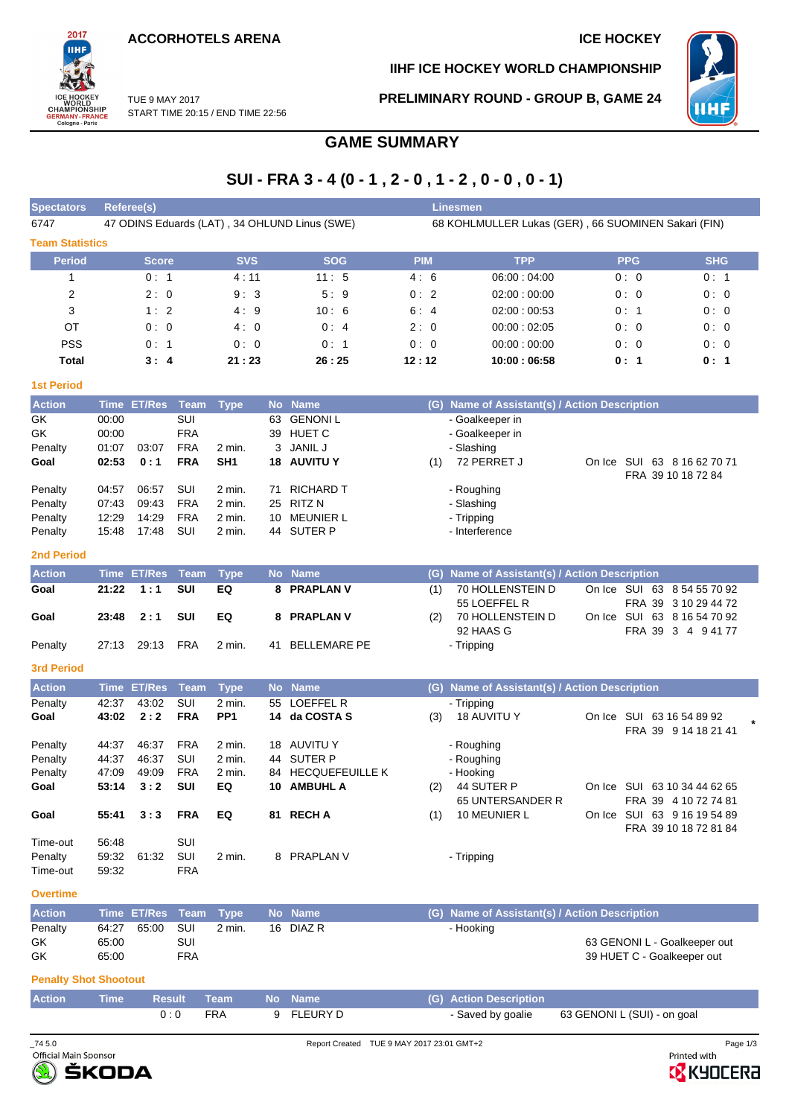**ACCORHOTELS ARENA ICE HOCKEY** 



**IIHF ICE HOCKEY WORLD CHAMPIONSHIP**



TUE 9 MAY 2017 START TIME 20:15 / END TIME 22:56 **PRELIMINARY ROUND - GROUP B, GAME 24**

# **GAME SUMMARY**

# **SUI - FRA 3 - 4 (0 - 1 , 2 - 0 , 1 - 2 , 0 - 0 , 0 - 1)**

| <b>Spectators</b>      |             | <b>Referee(s)</b> |             |                 |    |                                               |            | <b>Linesmen</b>                                     |            |                                                     |
|------------------------|-------------|-------------------|-------------|-----------------|----|-----------------------------------------------|------------|-----------------------------------------------------|------------|-----------------------------------------------------|
| 6747                   |             |                   |             |                 |    | 47 ODINS Eduards (LAT), 34 OHLUND Linus (SWE) |            | 68 KOHLMULLER Lukas (GER), 66 SUOMINEN Sakari (FIN) |            |                                                     |
| <b>Team Statistics</b> |             |                   |             |                 |    |                                               |            |                                                     |            |                                                     |
| <b>Period</b>          |             | <b>Score</b>      |             | <b>SVS</b>      |    | <b>SOG</b>                                    | <b>PIM</b> | <b>TPP</b>                                          | <b>PPG</b> | <b>SHG</b>                                          |
| 1                      |             | 0:1               |             | 4:11            |    | 11:5                                          | 4:6        | 06:00:04:00                                         | 0:0        | 0:1                                                 |
| 2                      |             | 2:0               |             | 9:3             |    | 5:9                                           | 0:2        | 02:00:00:00                                         | 0:0        | 0:0                                                 |
| 3                      |             | 1:2               |             | 4:9             |    | 10:6                                          | 6:4        | 02:00:00:53                                         | 0:1        | 0:0                                                 |
| OT                     |             | 0:0               |             | 4:0             |    | 0:4                                           | 2:0        | 00:00:02:05                                         | 0:0        | 0:0                                                 |
| <b>PSS</b>             |             | 0:1               |             | 0:0             |    | 0:1                                           | 0:0        | 00:00:00:00                                         | 0:0        | 0:0                                                 |
| <b>Total</b>           |             | 3:4               |             | 21:23           |    | 26:25                                         | 12:12      | 10:00:06:58                                         | 0:1        | 0:1                                                 |
| <b>1st Period</b>      |             |                   |             |                 |    |                                               |            |                                                     |            |                                                     |
| <b>Action</b>          |             | Time ET/Res       | Team        | <b>Type</b>     |    | No Name                                       |            | (G) Name of Assistant(s) / Action Description       |            |                                                     |
| GK                     | 00:00       |                   | SUI         |                 | 63 | <b>GENONIL</b>                                |            | - Goalkeeper in                                     |            |                                                     |
| GK                     | 00:00       |                   | <b>FRA</b>  |                 | 39 | <b>HUET C</b>                                 |            | - Goalkeeper in                                     |            |                                                     |
| Penalty                | 01:07       | 03:07             | <b>FRA</b>  | $2$ min.        | 3  | <b>JANIL J</b>                                |            | - Slashing                                          |            |                                                     |
| Goal                   | 02:53       | 0:1               | <b>FRA</b>  | SH <sub>1</sub> | 18 | <b>AUVITU Y</b>                               | (1)        | 72 PERRET J                                         |            | On Ice SUI 63 8 16 62 70 71<br>FRA 39 10 18 72 84   |
| Penalty                | 04:57       | 06:57             | SUI         | $2$ min.        | 71 | <b>RICHARD T</b>                              |            | - Roughing                                          |            |                                                     |
| Penalty                | 07:43       | 09:43             | <b>FRA</b>  | 2 min.          | 25 | <b>RITZN</b>                                  |            | - Slashing                                          |            |                                                     |
| Penalty                | 12:29       | 14:29             | <b>FRA</b>  | $2$ min.        | 10 | <b>MEUNIER L</b>                              |            | - Tripping                                          |            |                                                     |
| Penalty                | 15:48       | 17:48             | SUI         | 2 min.          | 44 | <b>SUTER P</b>                                |            | - Interference                                      |            |                                                     |
| <b>2nd Period</b>      |             |                   |             |                 |    |                                               |            |                                                     |            |                                                     |
| <b>Action</b>          | <b>Time</b> | <b>ET/Res</b>     | <b>Team</b> | <b>Type</b>     |    | No Name                                       | (G)        | Name of Assistant(s) / Action Description           |            |                                                     |
| Goal                   | 21:22       | 1:1               | <b>SUI</b>  | EQ              | 8  | <b>PRAPLAN V</b>                              | (1)        | 70 HOLLENSTEIN D<br>55 LOEFFEL R                    |            | On Ice SUI 63 8 54 55 70 92<br>FRA 39 3 10 29 44 72 |
| Goal                   | 23:48       | 2:1               | <b>SUI</b>  | EQ              | 8  | <b>PRAPLAN V</b>                              | (2)        | 70 HOLLENSTEIN D                                    |            | On Ice SUI 63 8 16 54 70 92                         |
|                        |             |                   |             |                 |    |                                               |            | 92 HAAS G                                           |            | FRA 39 3 4 94177                                    |
| Penalty                | 27:13       | 29:13             | <b>FRA</b>  | $2$ min.        | 41 | <b>BELLEMARE PE</b>                           |            | - Tripping                                          |            |                                                     |
| <b>3rd Period</b>      |             |                   |             |                 |    |                                               |            |                                                     |            |                                                     |

| <b>Action</b> | Time  | <b>ET/Res</b> Team |            | <b>Type</b>     |     | No Name            | (G) | <b>Name of Assistant(s) / Action Description</b> |        |                                                            |
|---------------|-------|--------------------|------------|-----------------|-----|--------------------|-----|--------------------------------------------------|--------|------------------------------------------------------------|
| Penalty       | 42:37 | 43:02              | SUI        | 2 min.          | 55  | LOEFFEL R          |     | - Tripping                                       |        |                                                            |
| Goal          | 43:02 | 2:2                | <b>FRA</b> | PP <sub>1</sub> |     | 14 da COSTA S      | (3) | <b>18 AUVITU Y</b>                               | On Ice | SUI<br>63 16 54 89 92<br>FRA 39 9 14 18 21 41              |
| Penalty       | 44:37 | 46:37              | <b>FRA</b> | 2 min.          |     | 18 AUVITU Y        |     | - Roughing                                       |        |                                                            |
| Penalty       | 44:37 | 46:37              | SUI        | 2 min.          | 44  | SUTER P            |     | - Roughing                                       |        |                                                            |
| Penalty       | 47:09 | 49.09              | <b>FRA</b> | 2 min.          |     | 84 HECQUEFEUILLE K |     | - Hooking                                        |        |                                                            |
| Goal          | 53:14 | 3:2                | <b>SUI</b> | EQ              | 10. | <b>AMBUHL A</b>    | (2) | 44 SUTER P<br><b>65 UNTERSANDER R</b>            | On Ice | 63 10 34 44 62 65<br>SUI<br><b>FRA 39</b><br>4 10 72 74 81 |
| Goal          | 55:41 | 3:3                | <b>FRA</b> | EQ              | 81. | <b>RECHA</b>       | (1) | 10 MEUNIER L                                     | On Ice | SUI<br>63 9 16 19 54 89<br>FRA 39 10 18 72 81 84           |
| Time-out      | 56:48 |                    | SUI        |                 |     |                    |     |                                                  |        |                                                            |
| Penalty       | 59:32 | 61:32              | SUI        | 2 min.          | 8   | <b>PRAPLAN V</b>   |     | - Tripping                                       |        |                                                            |
| Time-out      | 59:32 |                    | <b>FRA</b> |                 |     |                    |     |                                                  |        |                                                            |

## **Overtime**

| <b>Action</b> |       | Time ET/Res Team Type |     |        | <b>No Name</b> | (G) Name of Assistant(s) / Action Description |
|---------------|-------|-----------------------|-----|--------|----------------|-----------------------------------------------|
| Penalty       | 64:27 | 65:00 SUI             |     | 2 min. | 16 DIAZ R      | - Hooking                                     |
| GK            | 65:00 |                       | SUI |        |                | 63 GENONI L - Goalkeeper out                  |
| GK            | 65:00 |                       | FRA |        |                | 39 HUET C - Goalkeeper out                    |

### **Penalty Shot Shootout**

| <b>Action</b> |  | ' Time      Result     Team         No   Name |            | (G) Action Description |                             |
|---------------|--|-----------------------------------------------|------------|------------------------|-----------------------------|
|               |  | FRA                                           | 9 FLEURY D | - Saved by goalie      | 63 GENONI L (SUI) - on goal |



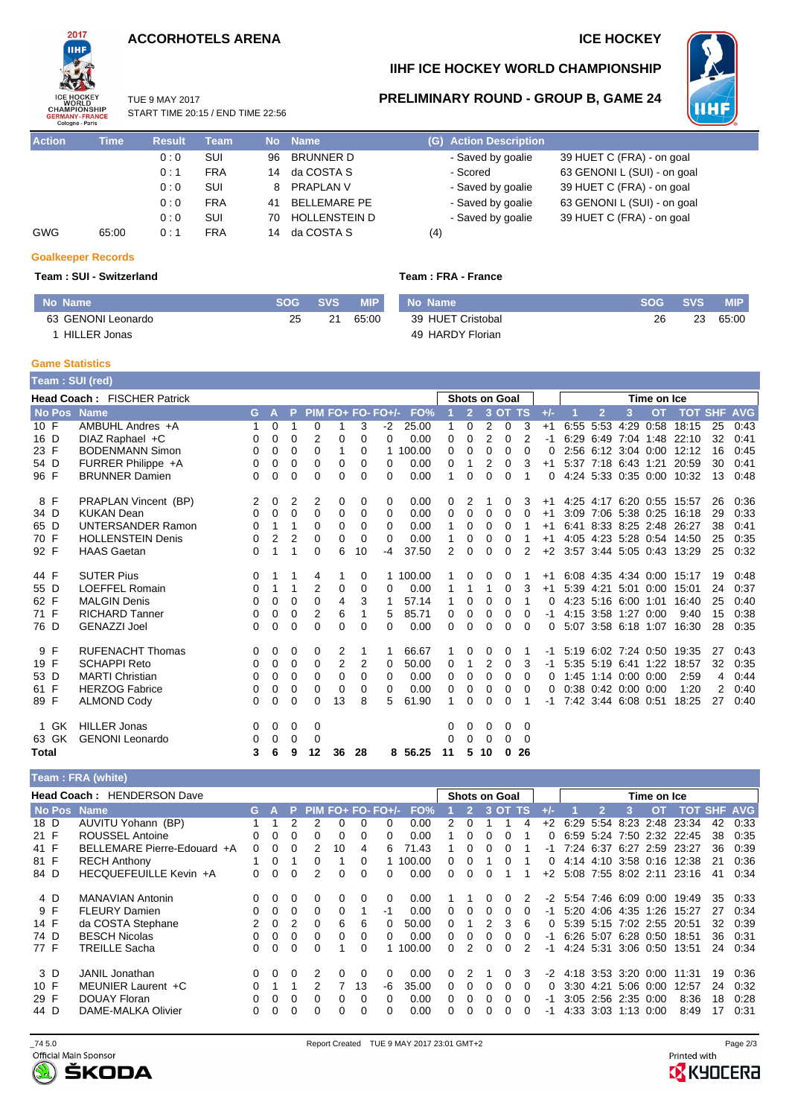# **ACCORHOTELS ARENA ICE HOCKEY**



# **IIHF ICE HOCKEY WORLD CHAMPIONSHIP**

25 21 65:00

TUE 9 MAY 2017 START TIME 20:15 / END TIME 22:56

| <b>Action</b> | <b>Time</b> | <b>Result</b> | <b>Team</b> | <b>No</b> | <b>Name</b>          | (G) Action Description |
|---------------|-------------|---------------|-------------|-----------|----------------------|------------------------|
|               |             | 0:0           | SUI         | 96        | <b>BRUNNER D</b>     | - Saved by goalie      |
|               |             | 0:1           | <b>FRA</b>  | 14        | da COSTA S           | - Scored               |
|               |             | 0:0           | SUI         | 8         | <b>PRAPLAN V</b>     | - Saved by goalie      |
|               |             | 0:0           | <b>FRA</b>  | 41        | <b>BELLEMARE PE</b>  | - Saved by goalie      |
|               |             | 0:0           | SUI         | 70        | <b>HOLLENSTEIN D</b> | - Saved by goalie      |
| GWG           | 65:00       | 0:1           | <b>FRA</b>  | 14        | da COSTA S           | (4)                    |

**No Name SOG SVS MIP**



# **PRELIMINARY ROUND - GROUP B, GAME 24**

| esult | Team       |     | No Name          | (G) Action Description |                             |
|-------|------------|-----|------------------|------------------------|-----------------------------|
| 0:0   | SUI        | 96. | BRUNNER D        | - Saved by goalie      | 39 HUET C (FRA) - on goal   |
| 0:1   | <b>FRA</b> |     | 14 da COSTA S    | - Scored               | 63 GENONI L (SUI) - on goal |
| 0:0   | SUI        |     | 8 PRAPLAN V      | - Saved by goalie      | 39 HUET C (FRA) - on goal   |
| 0:0   | <b>FRA</b> |     | 41 BELLEMARE PE  | - Saved by goalie      | 63 GENONI L (SUI) - on goal |
| 0:0   | SUI        |     | 70 HOLLENSTEIN D | - Saved by goalie      | 39 HUET C (FRA) - on goal   |
| 0:1   | <b>FRA</b> |     | 14 da COSTA S    | $\left( 4\right)$      |                             |

## **Goalkeeper Records**

## **Team : SUI - Switzerland**

63 GENONI Leonardo 1 HILLER Jonas

|  |  |  | Team : FRA - France |
|--|--|--|---------------------|
|--|--|--|---------------------|

| No Name           |     | SOG SVS MIP |          |
|-------------------|-----|-------------|----------|
| 39 HUET Cristobal | 26. |             | 23 65:00 |
| 49 HARDY Florian  |     |             |          |

# **Game Statistics**

**Team : SUI (red)**

|              | <b>Head Coach: FISCHER Patrick</b> |    |          |   |          |                |    |                     |          |    |                | <b>Shots on Goal</b> |          |          |       |      |                |                     | Time on Ice |                           |    |      |
|--------------|------------------------------------|----|----------|---|----------|----------------|----|---------------------|----------|----|----------------|----------------------|----------|----------|-------|------|----------------|---------------------|-------------|---------------------------|----|------|
|              | <b>No Pos</b> Name                 | G. | <b>A</b> | P |          |                |    | $PIM FO+ FO- FO+/-$ | FO%      |    | $\overline{2}$ |                      | 3 OT TS  |          | $+/-$ |      | $\overline{2}$ | 3                   | <b>OT</b>   | <b>TOT SHF AVG</b>        |    |      |
| 10 F         | AMBUHL Andres +A                   |    | 0        |   | 0        |                | 3  | $-2$                | 25.00    |    | 0              | 2                    | $\Omega$ | 3        | $+1$  |      | 6:55 5:53 4:29 |                     | 0:58        | 18:15                     | 25 | 0:43 |
| 16 D         | DIAZ Raphael +C                    | 0  | 0        | 0 | 2        | 0              | 0  | $\Omega$            | 0.00     | 0  | $\Omega$       | 2                    | 0        | 2        | -1    | 6:29 | 6:49           | 7:04 1:48           |             | 22:10                     | 32 | 0:41 |
| 23 F         | <b>BODENMANN Simon</b>             | 0  | 0        | 0 | 0        |                | 0  |                     | 100.00   | 0  | 0              | 0                    | $\Omega$ | $\Omega$ | 0     |      |                |                     |             | 2:56 6:12 3:04 0:00 12:12 | 16 | 0:45 |
| 54 D         | FURRER Philippe +A                 | 0  | 0        | 0 | 0        | 0              | 0  | 0                   | 0.00     | 0  |                | 2                    | $\Omega$ | 3        | $+1$  |      |                | 5:37 7:18 6:43 1:21 |             | 20:59                     | 30 | 0:41 |
| 96 F         | <b>BRUNNER Damien</b>              | 0  | 0        | 0 | 0        | $\Omega$       | 0  | 0                   | 0.00     | 1  | 0              | 0                    | 0        | 1        | 0     |      |                |                     |             | 4:24 5:33 0:35 0:00 10:32 | 13 | 0:48 |
| 8 F          | PRAPLAN Vincent (BP)               | 2  | 0        | 2 | 2        | 0              | 0  | $\Omega$            | 0.00     | 0  | 2              |                      | 0        | 3        | $+1$  |      |                |                     |             | 4:25 4:17 6:20 0:55 15:57 | 26 | 0:36 |
| 34 D         | <b>KUKAN Dean</b>                  | 0  | 0        | 0 | 0        | 0              | 0  | $\Omega$            | 0.00     | 0  | $\Omega$       | 0                    | $\Omega$ | 0        | $+1$  |      |                |                     |             | 3:09 7:06 5:38 0:25 16:18 | 29 | 0:33 |
| 65 D         | <b>UNTERSANDER Ramon</b>           | 0  | 1        | 1 | $\Omega$ | 0              | 0  | 0                   | 0.00     |    | 0              | 0                    | $\Omega$ |          | $+1$  |      |                |                     |             | 6:41 8:33 8:25 2:48 26:27 | 38 | 0:41 |
| 70 F         | <b>HOLLENSTEIN Denis</b>           | 0  | 2        | 2 | 0        | 0              | 0  | $\Omega$            | 0.00     |    | 0              | 0                    | 0        |          | $+1$  |      |                |                     |             | 4:05 4:23 5:28 0:54 14:50 | 25 | 0:35 |
| 92 F         | <b>HAAS Gaetan</b>                 | 0  | 1        | 1 | $\Omega$ | 6              | 10 | -4                  | 37.50    | 2  | $\Omega$       | 0                    | 0        | 2        | $+2$  |      |                |                     |             | 3:57 3:44 5:05 0:43 13:29 | 25 | 0:32 |
| 44 F         | <b>SUTER Pius</b>                  | 0  |          | 1 | 4        |                | 0  |                     | 1 100.00 |    | 0              | 0                    | 0        |          | $+1$  |      |                |                     |             | 6:08 4:35 4:34 0:00 15:17 | 19 | 0:48 |
| 55 D         | <b>LOEFFEL Romain</b>              | 0  | 1        | 1 | 2        | 0              | 0  | 0                   | 0.00     |    |                | 1                    | 0        | 3        | $+1$  |      | 5:39 4:21      | 5:01                | 0:00        | 15:01                     | 24 | 0:37 |
| 62 F         | <b>MALGIN Denis</b>                | 0  | 0        | 0 | 0        | 4              | 3  |                     | 57.14    |    | 0              | 0                    | 0        | 1        | 0     |      |                | 4:23 5:16 6:00 1:01 |             | 16:40                     | 25 | 0:40 |
| 71 F         | <b>RICHARD Tanner</b>              | 0  | 0        | 0 | 2        | 6              |    | 5                   | 85.71    | 0  | 0              | 0                    | 0        | 0        | -1    |      |                | 4:15 3:58 1:27 0:00 |             | 9:40                      | 15 | 0:38 |
| 76 D         | <b>GENAZZI Joel</b>                | 0  | 0        | 0 | $\Omega$ | $\Omega$       | 0  | 0                   | 0.00     | 0  | 0              | 0                    | 0        | $\Omega$ | 0     |      |                | 5:07 3:58 6:18 1:07 |             | 16:30                     | 28 | 0:35 |
| 9 F          | <b>RUFENACHT Thomas</b>            | 0  | 0        | 0 | 0        | 2              | 1  |                     | 66.67    |    | 0              | 0                    | 0        |          | -1    |      |                | 5:19 6:02 7:24 0:50 |             | 19:35                     | 27 | 0:43 |
| 19 F         | <b>SCHAPPI Reto</b>                | 0  | 0        | 0 | $\Omega$ | $\overline{2}$ | 2  | $\Omega$            | 50.00    | 0  | 1              | 2                    | $\Omega$ | 3        | $-1$  |      |                | 5:35 5:19 6:41 1:22 |             | 18:57                     | 32 | 0:35 |
| 53 D         | <b>MARTI Christian</b>             | 0  | 0        | 0 | $\Omega$ | 0              | 0  | 0                   | 0.00     | 0  | 0              | 0                    | $\Omega$ | 0        | 0     |      |                | 1:45 1:14 0:00 0:00 |             | 2:59                      | 4  | 0:44 |
| 61 F         | <b>HERZOG Fabrice</b>              | 0  | 0        | 0 | 0        | 0              | 0  | $\Omega$            | 0.00     | 0  | 0              | 0                    | 0        | $\Omega$ | 0     |      |                | 0:38 0:42 0:00 0:00 |             | 1:20                      | 2  | 0:40 |
| 89 F         | <b>ALMOND Cody</b>                 | 0  | $\Omega$ | 0 | 0        | 13             | 8  | 5.                  | 61.90    | 1  | 0              | 0                    | $\Omega$ |          | -1    |      |                | 7:42 3:44 6:08 0:51 |             | 18:25                     | 27 | 0:40 |
| 1 GK         | <b>HILLER Jonas</b>                | 0  | 0        | 0 | 0        |                |    |                     |          | 0  | 0              | 0                    | 0        | 0        |       |      |                |                     |             |                           |    |      |
| 63 GK        | <b>GENONI</b> Leonardo             | 0  | 0        | 0 | 0        |                |    |                     |          | 0  | 0              | 0                    | 0        | 0        |       |      |                |                     |             |                           |    |      |
| <b>Total</b> |                                    | 3  | 6        | 9 | 12       | 36             | 28 |                     | 8 56.25  | 11 | 5              | 10                   | $\bf{0}$ | 26       |       |      |                |                     |             |                           |    |      |

### **Team : FRA (white)**

| Head Coach: HENDERSON Dave |  |                             |    |   |   |          |    |    |                   | <b>Shots on Goal</b> |    |   |   | Time on Ice |    |              |      |                     |           |      |            |    |                |
|----------------------------|--|-----------------------------|----|---|---|----------|----|----|-------------------|----------------------|----|---|---|-------------|----|--------------|------|---------------------|-----------|------|------------|----|----------------|
|                            |  | No Pos Name                 | G. |   |   |          |    |    | PIM FO+ FO- FO+/- | FO%                  |    |   |   | 3 OT        | тs |              |      |                     |           | ΩT   | тот        |    | <b>SHF AVG</b> |
| 18 D                       |  | AUVITU Yohann (BP)          |    |   |   |          |    |    |                   | 0.00                 |    |   |   |             |    | $+2$         | 6:29 | 5:54                | 8:23      | 2:48 | 23:34      | 42 | 0:33           |
| 21 F                       |  | <b>ROUSSEL Antoine</b>      |    | 0 | 0 |          |    |    | 0                 | 0.00                 |    |   |   |             |    |              |      | 6.59 5.24 7.50      |           |      | 2:32 22:45 | 38 | 0:35           |
| 41 F                       |  | BELLEMARE Pierre-Edouard +A | 0  |   | o |          | 10 | 4  | 6.                | 71.43                |    |   |   |             |    |              |      | 7:24 6:37           | 6:27      | 2:59 | 23:27      | 36 | 0:39           |
| 81 F                       |  | <b>RECH Anthony</b>         |    | 0 |   |          |    | 0  |                   | 100.00               | O. |   |   |             |    |              |      | 4:14 4:10           | 3:58 0:16 |      | 12:38      | 21 | 0:36           |
| 84 D                       |  | HECQUEFEUILLE Kevin +A      | 0  | 0 | 0 | 2        |    | 0  | 0                 | 0.00                 | O. | 0 |   |             |    | $+2$         |      | 5:08 7:55 8:02 2:11 |           |      | 23:16      | 41 | 0:34           |
| 4 D                        |  | <b>MANAVIAN Antonin</b>     |    | 0 | 0 | $\Omega$ |    | 0  | $\Omega$          | 0.00                 |    |   |   |             |    | -2           |      | 5.54 7.46 6.09 0.00 |           |      | 19:49      | 35 | 0:33           |
| 9 F                        |  | <b>FLEURY Damien</b>        |    | 0 | 0 | $\Omega$ |    |    | -1                | 0.00                 | O. | 0 |   |             |    | -1           | 5:20 | 4:06 4:35           |           | 1:26 | 15:27      | 27 | 0:34           |
| 14 F                       |  | da COSTA Stephane           |    | 0 |   | $\Omega$ | 6  | 6  | 0                 | 50.00                | 0  |   |   | 3           | 6  | <sup>0</sup> |      | 5:39 5:15 7:02 2:55 |           |      | 20:51      | 32 | 0:39           |
| 74 D                       |  | <b>BESCH Nicolas</b>        | 0  | 0 | 0 | $\Omega$ |    | 0  | 0                 | 0.00                 | O. | 0 |   |             |    | -1           |      | 6.26 5.07           | 6.28 0.50 |      | 18:51      | 36 | 0:31           |
| 77 F                       |  | <b>TREILLE Sacha</b>        |    | 0 | 0 | $\Omega$ |    | 0  |                   | 100.00               | ∩  |   | U | n           | 2  | -1           |      | 4:24 5:31 3:06 0:50 |           |      | 13:51      | 24 | 0.34           |
| 3 D                        |  | <b>JANIL</b> Jonathan       | 0  | 0 | 0 |          |    | 0  | 0                 | 0.00                 | O. |   |   |             | 3  | -2           |      | 4:18 3:53 3:20 0:00 |           |      | 11:31      | 19 | 0:36           |
| 10 F                       |  | MEUNIER Laurent +C          |    |   |   |          |    | 13 | -6                | 35.00                | O. |   |   |             |    | <sup>0</sup> | 3:30 | 4:21                | 5:06 0:00 |      | 12:57      | 24 | 0:32           |
| 29 F                       |  | DOUAY Floran                |    | 0 | 0 | $\Omega$ |    | 0  | 0                 | 0.00                 | O. | 0 |   |             |    | -1           |      | 3:05 2:56 2:35 0:00 |           |      | 8:36       | 18 | 0:28           |
| 44 D                       |  | DAME-MALKA Olivier          |    | 0 | U | $\Omega$ |    | 0  | 0                 | 0.00                 | ∩  | Ω |   |             |    | -1           |      | 4:33 3:03 1:13 0:00 |           |      | 8:49       | 17 | 0:31           |